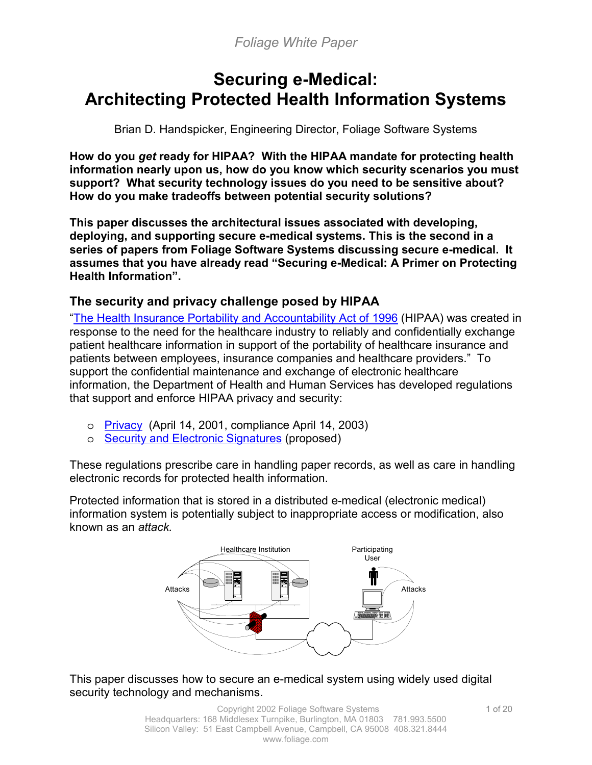# **Securing e-Medical: Architecting Protected Health Information Systems**

Brian D. Handspicker, Engineering Director, Foliage Software Systems

**How do you** *get* **ready for HIPAA? With the HIPAA mandate for protecting health information nearly upon us, how do you know which security scenarios you must support? What security technology issues do you need to be sensitive about? How do you make tradeoffs between potential security solutions?** 

**This paper discusses the architectural issues associated with developing, deploying, and supporting secure e-medical systems. This is the second in a series of papers from Foliage Software Systems discussing secure e-medical. It assumes that you have already read "Securing e-Medical: A Primer on Protecting Health Information".** 

# **The security and privacy challenge posed by HIPAA**

["The Health Insurance Portability and Accountability Act of 1996](http://aspe.hhs.gov/admnsimp/pl104191.htm) (HIPAA) was created in response to the need for the healthcare industry to reliably and confidentially exchange patient healthcare information in support of the portability of healthcare insurance and patients between employees, insurance companies and healthcare providers." To support the confidential maintenance and exchange of electronic healthcare information, the Department of Health and Human Services has developed regulations that support and enforce HIPAA privacy and security:

- o [Privacy](http://aspe.hhs.gov/admnsimp/bannerps.htm) (April 14, 2001, compliance April 14, 2003)
- o [Security and Electronic Signatures](http://aspe.hhs.gov/admnsimp/bannerps.htm#security) (proposed)

These regulations prescribe care in handling paper records, as well as care in handling electronic records for protected health information.

Protected information that is stored in a distributed e-medical (electronic medical) information system is potentially subject to inappropriate access or modification, also known as an *attack.* 



This paper discusses how to secure an e-medical system using widely used digital security technology and mechanisms.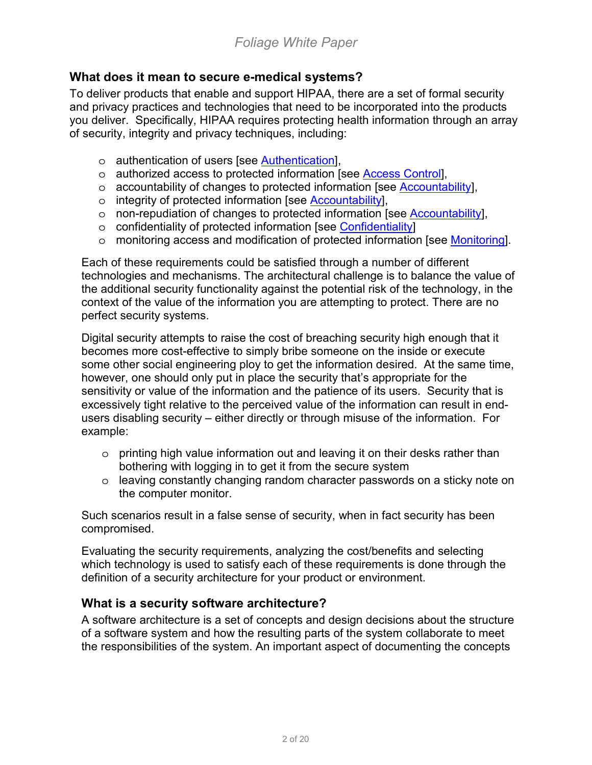# **What does it mean to secure e-medical systems?**

To deliver products that enable and support HIPAA, there are a set of formal security and privacy practices and technologies that need to be incorporated into the products you deliver.Specifically, HIPAA requires protecting health information through an array of security, integrity and privacy techniques, including:

- o authentication of users [see [Authentication\]](#page-7-0),
- o authorized access to protected information [see [Access Control\]](#page-11-0),
- o accountability of changes to protected information [see [Accountability\]](#page-13-0),
- o integrity of protected information [see [Accountability\]](#page-13-0),
- o non-repudiation of changes to protected information [see [Accountability\]](#page-13-0),
- o confidentiality of protected information [see [Confidentiality\]](#page-15-0)
- o monitoring access and modification of protected information [see [Monitoring\]](#page-18-0).

Each of these requirements could be satisfied through a number of different technologies and mechanisms. The architectural challenge is to balance the value of the additional security functionality against the potential risk of the technology, in the context of the value of the information you are attempting to protect. There are no perfect security systems.

Digital security attempts to raise the cost of breaching security high enough that it becomes more cost-effective to simply bribe someone on the inside or execute some other social engineering ploy to get the information desired. At the same time, however, one should only put in place the security that's appropriate for the sensitivity or value of the information and the patience of its users. Security that is excessively tight relative to the perceived value of the information can result in endusers disabling security – either directly or through misuse of the information. For example:

- $\circ$  printing high value information out and leaving it on their desks rather than bothering with logging in to get it from the secure system
- o leaving constantly changing random character passwords on a sticky note on the computer monitor.

Such scenarios result in a false sense of security, when in fact security has been compromised.

Evaluating the security requirements, analyzing the cost/benefits and selecting which technology is used to satisfy each of these requirements is done through the definition of a security architecture for your product or environment.

# **What is a security software architecture?**

A software architecture is a set of concepts and design decisions about the structure of a software system and how the resulting parts of the system collaborate to meet the responsibilities of the system. An important aspect of documenting the concepts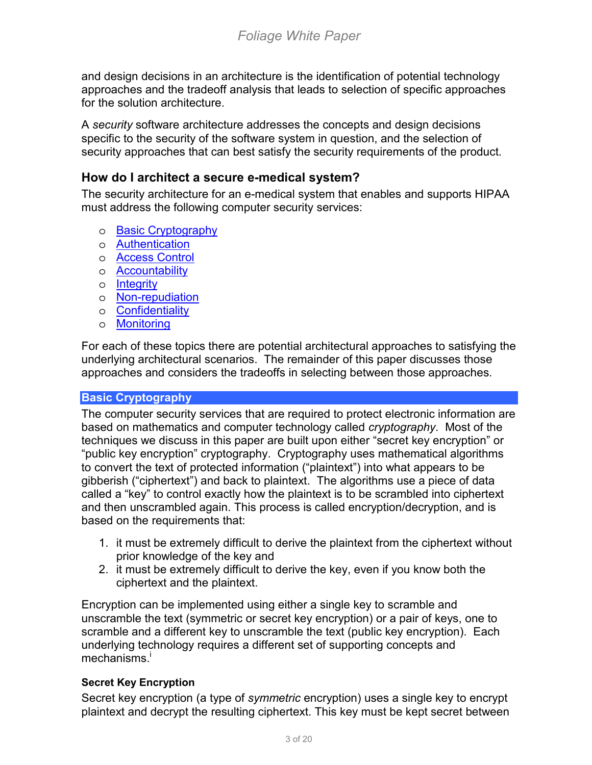and design decisions in an architecture is the identification of potential technology approaches and the tradeoff analysis that leads to selection of specific approaches for the solution architecture.

A *security* software architecture addresses the concepts and design decisions specific to the security of the software system in question, and the selection of security approaches that can best satisfy the security requirements of the product.

## **How do I architect a secure e-medical system?**

The security architecture for an e-medical system that enables and supports HIPAA must address the following computer security services:

- o Basic Cryptography
- o [Authentication](#page-7-0)
- o [Access Control](#page-11-0)
- o [Accountability](#page-13-0)
- o [Integrity](#page-13-0)
- o [Non-repudiation](#page-13-0)
- o [Confidentiality](#page-15-0)
- o [Monitoring](#page-18-0)

For each of these topics there are potential architectural approaches to satisfying the underlying architectural scenarios. The remainder of this paper discusses those approaches and considers the tradeoffs in selecting between those approaches.

## **Basic Cryptography**

The computer security services that are required to protect electronic information are based on mathematics and computer technology called *cryptography*. Most of the techniques we discuss in this paper are built upon either "secret key encryption" or "public key encryption" cryptography. Cryptography uses mathematical algorithms to convert the text of protected information ("plaintext") into what appears to be gibberish ("ciphertext") and back to plaintext. The algorithms use a piece of data called a "key" to control exactly how the plaintext is to be scrambled into ciphertext and then unscrambled again. This process is called encryption/decryption, and is based on the requirements that:

- 1. it must be extremely difficult to derive the plaintext from the ciphertext without prior knowledge of the key and
- 2. it must be extremely difficult to derive the key, even if you know both the ciphertext and the plaintext.

Encryption can be implemented using either a single key to scramble and unscramble the text (symmetric or secret key encryption) or a pair of keys, one to scramble and a different key to unscramble the text (public key encryption). Each underlying te[ch](#page-19-0)nology requires a different set of supporting concepts and mechanisms.<sup>i</sup>

## **Secret Key Encryption**

Secret key encryption (a type of *symmetric* encryption) uses a single key to encrypt plaintext and decrypt the resulting ciphertext. This key must be kept secret between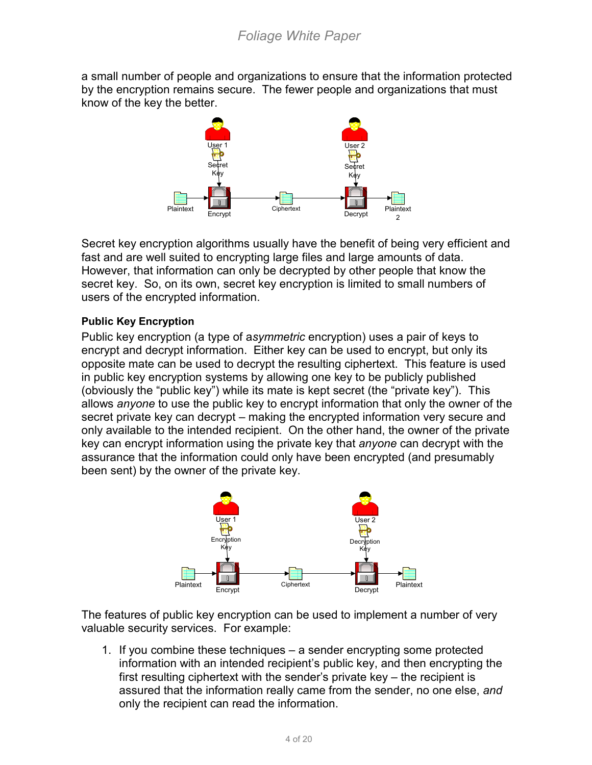a small number of people and organizations to ensure that the information protected by the encryption remains secure. The fewer people and organizations that must know of the key the better.



Secret key encryption algorithms usually have the benefit of being very efficient and fast and are well suited to encrypting large files and large amounts of data. However, that information can only be decrypted by other people that know the secret key. So, on its own, secret key encryption is limited to small numbers of users of the encrypted information.

## **Public Key Encryption**

Public key encryption (a type of a*symmetric* encryption) uses a pair of keys to encrypt and decrypt information. Either key can be used to encrypt, but only its opposite mate can be used to decrypt the resulting ciphertext. This feature is used in public key encryption systems by allowing one key to be publicly published (obviously the "public key") while its mate is kept secret (the "private key"). This allows *anyone* to use the public key to encrypt information that only the owner of the secret private key can decrypt – making the encrypted information very secure and only available to the intended recipient. On the other hand, the owner of the private key can encrypt information using the private key that *anyone* can decrypt with the assurance that the information could only have been encrypted (and presumably been sent) by the owner of the private key.



The features of public key encryption can be used to implement a number of very valuable security services. For example:

1. If you combine these techniques – a sender encrypting some protected information with an intended recipient's public key, and then encrypting the first resulting ciphertext with the sender's private key – the recipient is assured that the information really came from the sender, no one else, *and* only the recipient can read the information.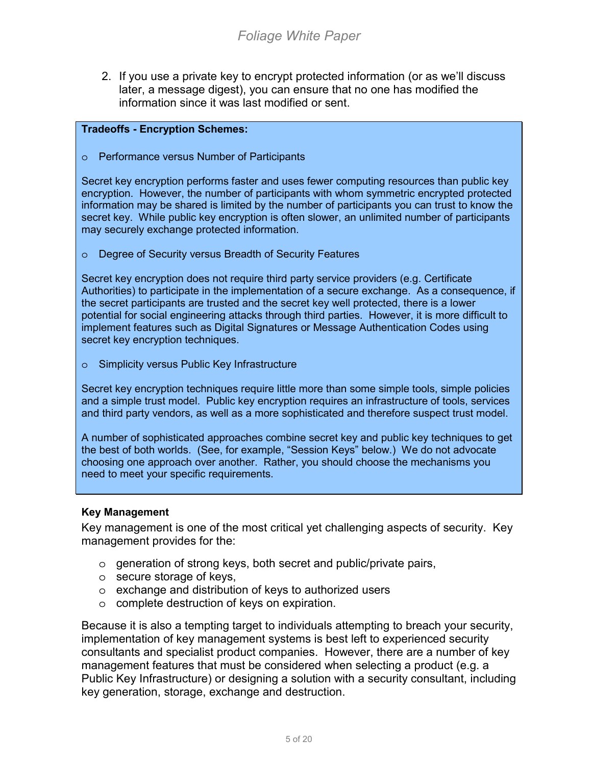2. If you use a private key to encrypt protected information (or as we'll discuss later, a message digest), you can ensure that no one has modified the information since it was last modified or sent.

#### **Tradeoffs - Encryption Schemes:**

o Performance versus Number of Participants

Secret key encryption performs faster and uses fewer computing resources than public key encryption. However, the number of participants with whom symmetric encrypted protected information may be shared is limited by the number of participants you can trust to know the secret key. While public key encryption is often slower, an unlimited number of participants may securely exchange protected information.

o Degree of Security versus Breadth of Security Features

Secret key encryption does not require third party service providers (e.g. Certificate Authorities) to participate in the implementation of a secure exchange. As a consequence, if the secret participants are trusted and the secret key well protected, there is a lower potential for social engineering attacks through third parties. However, it is more difficult to implement features such as Digital Signatures or Message Authentication Codes using secret key encryption techniques.

o Simplicity versus Public Key Infrastructure

Secret key encryption techniques require little more than some simple tools, simple policies and a simple trust model. Public key encryption requires an infrastructure of tools, services and third party vendors, as well as a more sophisticated and therefore suspect trust model.

A number of sophisticated approaches combine secret key and public key techniques to get the best of both worlds. (See, for example, "Session Keys" below.) We do not advocate choosing one approach over another. Rather, you should choose the mechanisms you need to meet your specific requirements.

#### **Key Management**

Key management is one of the most critical yet challenging aspects of security. Key management provides for the:

- o generation of strong keys, both secret and public/private pairs,
- o secure storage of keys,
- o exchange and distribution of keys to authorized users
- o complete destruction of keys on expiration.

Because it is also a tempting target to individuals attempting to breach your security, implementation of key management systems is best left to experienced security consultants and specialist product companies. However, there are a number of key management features that must be considered when selecting a product (e.g. a Public Key Infrastructure) or designing a solution with a security consultant, including key generation, storage, exchange and destruction.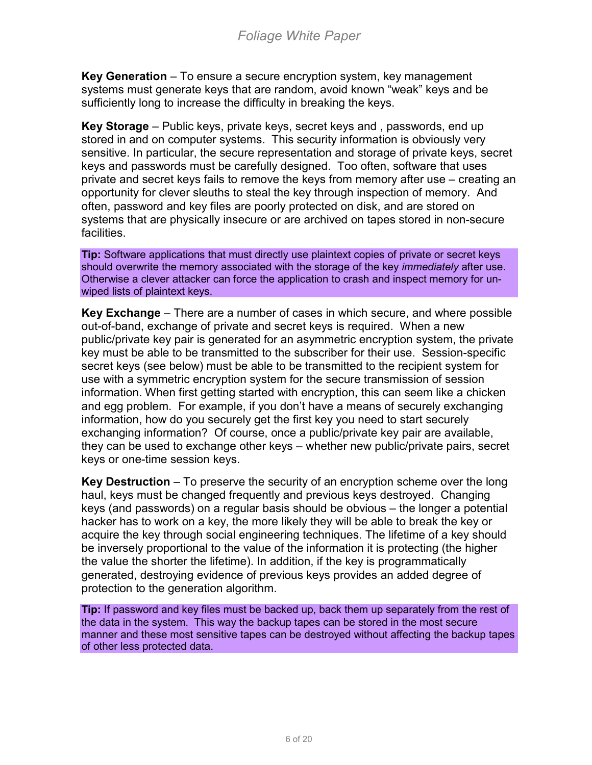**Key Generation** – To ensure a secure encryption system, key management systems must generate keys that are random, avoid known "weak" keys and be sufficiently long to increase the difficulty in breaking the keys.

**Key Storage** – Public keys, private keys, secret keys and , passwords, end up stored in and on computer systems. This security information is obviously very sensitive. In particular, the secure representation and storage of private keys, secret keys and passwords must be carefully designed. Too often, software that uses private and secret keys fails to remove the keys from memory after use – creating an opportunity for clever sleuths to steal the key through inspection of memory. And often, password and key files are poorly protected on disk, and are stored on systems that are physically insecure or are archived on tapes stored in non-secure facilities.

**Tip:** Software applications that must directly use plaintext copies of private or secret keys should overwrite the memory associated with the storage of the key *immediately* after use. Otherwise a clever attacker can force the application to crash and inspect memory for unwiped lists of plaintext keys.

**Key Exchange** – There are a number of cases in which secure, and where possible out-of-band, exchange of private and secret keys is required. When a new public/private key pair is generated for an asymmetric encryption system, the private key must be able to be transmitted to the subscriber for their use. Session-specific secret keys (see below) must be able to be transmitted to the recipient system for use with a symmetric encryption system for the secure transmission of session information. When first getting started with encryption, this can seem like a chicken and egg problem. For example, if you don't have a means of securely exchanging information, how do you securely get the first key you need to start securely exchanging information? Of course, once a public/private key pair are available, they can be used to exchange other keys – whether new public/private pairs, secret keys or one-time session keys.

**Key Destruction** – To preserve the security of an encryption scheme over the long haul, keys must be changed frequently and previous keys destroyed. Changing keys (and passwords) on a regular basis should be obvious – the longer a potential hacker has to work on a key, the more likely they will be able to break the key or acquire the key through social engineering techniques. The lifetime of a key should be inversely proportional to the value of the information it is protecting (the higher the value the shorter the lifetime). In addition, if the key is programmatically generated, destroying evidence of previous keys provides an added degree of protection to the generation algorithm.

**Tip:** If password and key files must be backed up, back them up separately from the rest of the data in the system. This way the backup tapes can be stored in the most secure manner and these most sensitive tapes can be destroyed without affecting the backup tapes of other less protected data.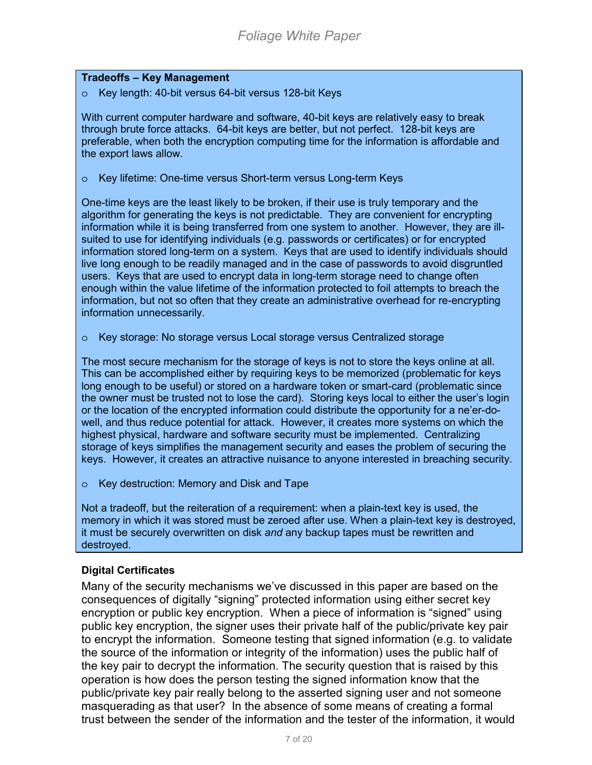#### **Tradeoffs – Key Management**

o Key length: 40-bit versus 64-bit versus 128-bit Keys

With current computer hardware and software, 40-bit keys are relatively easy to break through brute force attacks. 64-bit keys are better, but not perfect. 128-bit keys are preferable, when both the encryption computing time for the information is affordable and the export laws allow.

o Key lifetime: One-time versus Short-term versus Long-term Keys

One-time keys are the least likely to be broken, if their use is truly temporary and the algorithm for generating the keys is not predictable. They are convenient for encrypting information while it is being transferred from one system to another. However, they are illsuited to use for identifying individuals (e.g. passwords or certificates) or for encrypted information stored long-term on a system. Keys that are used to identify individuals should live long enough to be readily managed and in the case of passwords to avoid disgruntled users. Keys that are used to encrypt data in long-term storage need to change often enough within the value lifetime of the information protected to foil attempts to breach the information, but not so often that they create an administrative overhead for re-encrypting information unnecessarily.

o Key storage: No storage versus Local storage versus Centralized storage

The most secure mechanism for the storage of keys is not to store the keys online at all. This can be accomplished either by requiring keys to be memorized (problematic for keys long enough to be useful) or stored on a hardware token or smart-card (problematic since the owner must be trusted not to lose the card). Storing keys local to either the user's login or the location of the encrypted information could distribute the opportunity for a ne'er-dowell, and thus reduce potential for attack. However, it creates more systems on which the highest physical, hardware and software security must be implemented. Centralizing storage of keys simplifies the management security and eases the problem of securing the keys. However, it creates an attractive nuisance to anyone interested in breaching security.

o Key destruction: Memory and Disk and Tape

Not a tradeoff, but the reiteration of a requirement: when a plain-text key is used, the memory in which it was stored must be zeroed after use. When a plain-text key is destroyed, it must be securely overwritten on disk *and* any backup tapes must be rewritten and destroyed.

#### **Digital Certificates**

Many of the security mechanisms we've discussed in this paper are based on the consequences of digitally "signing" protected information using either secret key encryption or public key encryption. When a piece of information is "signed" using public key encryption, the signer uses their private half of the public/private key pair to encrypt the information. Someone testing that signed information (e.g. to validate the source of the information or integrity of the information) uses the public half of the key pair to decrypt the information. The security question that is raised by this operation is how does the person testing the signed information know that the public/private key pair really belong to the asserted signing user and not someone masquerading as that user? In the absence of some means of creating a formal trust between the sender of the information and the tester of the information, it would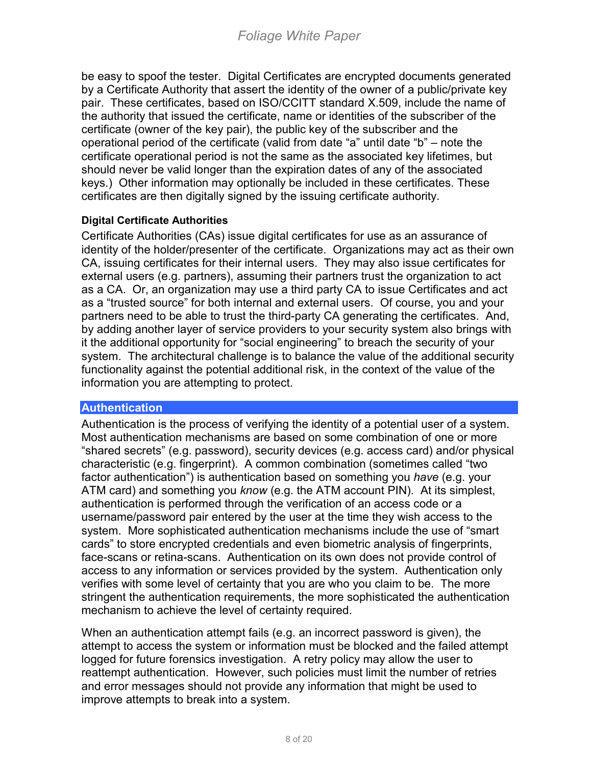<span id="page-7-0"></span>be easy to spoof the tester. Digital Certificates are encrypted documents generated by a Certificate Authority that assert the identity of the owner of a public/private key pair. These certificates, based on ISO/CCITT standard X.509, include the name of the authority that issued the certificate, name or identities of the subscriber of the certificate (owner of the key pair), the public key of the subscriber and the operational period of the certificate (valid from date "a" until date "b" – note the certificate operational period is not the same as the associated key lifetimes, but should never be valid longer than the expiration dates of any of the associated keys.) Other information may optionally be included in these certificates. These certificates are then digitally signed by the issuing certificate authority.

### **Digital Certificate Authorities**

Certificate Authorities (CAs) issue digital certificates for use as an assurance of identity of the holder/presenter of the certificate. Organizations may act as their own CA, issuing certificates for their internal users. They may also issue certificates for external users (e.g. partners), assuming their partners trust the organization to act as a CA. Or, an organization may use a third party CA to issue Certificates and act as a "trusted source" for both internal and external users. Of course, you and your partners need to be able to trust the third-party CA generating the certificates. And, by adding another layer of service providers to your security system also brings with it the additional opportunity for "social engineering" to breach the security of your system. The architectural challenge is to balance the value of the additional security functionality against the potential additional risk, in the context of the value of the information you are attempting to protect.

#### **Authentication**

Authentication is the process of verifying the identity of a potential user of a system. Most authentication mechanisms are based on some combination of one or more "shared secrets" (e.g. password), security devices (e.g. access card) and/or physical characteristic (e.g. fingerprint). A common combination (sometimes called "two factor authentication") is authentication based on something you *have* (e.g. your ATM card) and something you *know* (e.g. the ATM account PIN). At its simplest, authentication is performed through the verification of an access code or a username/password pair entered by the user at the time they wish access to the system. More sophisticated authentication mechanisms include the use of "smart cards" to store encrypted credentials and even biometric analysis of fingerprints, face-scans or retina-scans. Authentication on its own does not provide control of access to any information or services provided by the system. Authentication only verifies with some level of certainty that you are who you claim to be. The more stringent the authentication requirements, the more sophisticated the authentication mechanism to achieve the level of certainty required.

When an authentication attempt fails (e.g. an incorrect password is given), the attempt to access the system or information must be blocked and the failed attempt logged for future forensics investigation. A retry policy may allow the user to reattempt authentication. However, such policies must limit the number of retries and error messages should not provide any information that might be used to improve attempts to break into a system.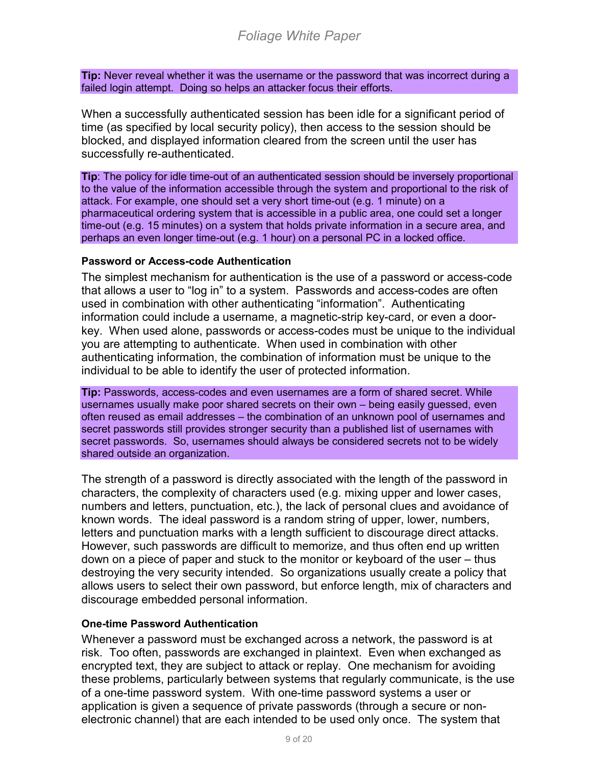**Tip:** Never reveal whether it was the username or the password that was incorrect during a failed login attempt. Doing so helps an attacker focus their efforts.

When a successfully authenticated session has been idle for a significant period of time (as specified by local security policy), then access to the session should be blocked, and displayed information cleared from the screen until the user has successfully re-authenticated.

**Tip**: The policy for idle time-out of an authenticated session should be inversely proportional to the value of the information accessible through the system and proportional to the risk of attack. For example, one should set a very short time-out (e.g. 1 minute) on a pharmaceutical ordering system that is accessible in a public area, one could set a longer time-out (e.g. 15 minutes) on a system that holds private information in a secure area, and perhaps an even longer time-out (e.g. 1 hour) on a personal PC in a locked office.

### **Password or Access-code Authentication**

The simplest mechanism for authentication is the use of a password or access-code that allows a user to "log in" to a system. Passwords and access-codes are often used in combination with other authenticating "information". Authenticating information could include a username, a magnetic-strip key-card, or even a doorkey. When used alone, passwords or access-codes must be unique to the individual you are attempting to authenticate. When used in combination with other authenticating information, the combination of information must be unique to the individual to be able to identify the user of protected information.

**Tip:** Passwords, access-codes and even usernames are a form of shared secret. While usernames usually make poor shared secrets on their own – being easily guessed, even often reused as email addresses – the combination of an unknown pool of usernames and secret passwords still provides stronger security than a published list of usernames with secret passwords. So, usernames should always be considered secrets not to be widely shared outside an organization.

The strength of a password is directly associated with the length of the password in characters, the complexity of characters used (e.g. mixing upper and lower cases, numbers and letters, punctuation, etc.), the lack of personal clues and avoidance of known words. The ideal password is a random string of upper, lower, numbers, letters and punctuation marks with a length sufficient to discourage direct attacks. However, such passwords are difficult to memorize, and thus often end up written down on a piece of paper and stuck to the monitor or keyboard of the user – thus destroying the very security intended. So organizations usually create a policy that allows users to select their own password, but enforce length, mix of characters and discourage embedded personal information.

#### **One-time Password Authentication**

Whenever a password must be exchanged across a network, the password is at risk. Too often, passwords are exchanged in plaintext. Even when exchanged as encrypted text, they are subject to attack or replay. One mechanism for avoiding these problems, particularly between systems that regularly communicate, is the use of a one-time password system. With one-time password systems a user or application is given a sequence of private passwords (through a secure or nonelectronic channel) that are each intended to be used only once. The system that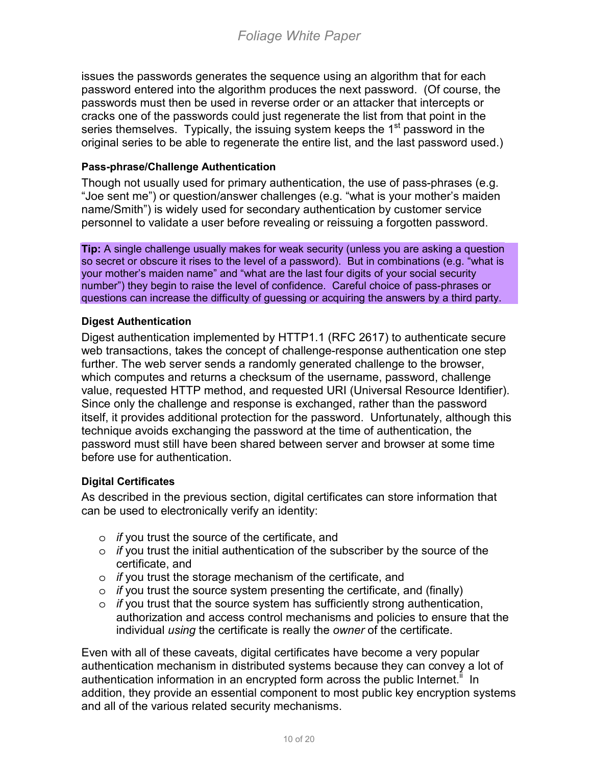issues the passwords generates the sequence using an algorithm that for each password entered into the algorithm produces the next password. (Of course, the passwords must then be used in reverse order or an attacker that intercepts or cracks one of the passwords could just regenerate the list from that point in the series themselves. Typically, the issuing system keeps the 1<sup>st</sup> password in the original series to be able to regenerate the entire list, and the last password used.)

#### **Pass-phrase/Challenge Authentication**

Though not usually used for primary authentication, the use of pass-phrases (e.g. "Joe sent me") or question/answer challenges (e.g. "what is your mother's maiden name/Smith") is widely used for secondary authentication by customer service personnel to validate a user before revealing or reissuing a forgotten password.

**Tip:** A single challenge usually makes for weak security (unless you are asking a question so secret or obscure it rises to the level of a password). But in combinations (e.g. "what is your mother's maiden name" and "what are the last four digits of your social security number") they begin to raise the level of confidence. Careful choice of pass-phrases or questions can increase the difficulty of guessing or acquiring the answers by a third party.

#### **Digest Authentication**

Digest authentication implemented by HTTP1.1 (RFC 2617) to authenticate secure web transactions, takes the concept of challenge-response authentication one step further. The web server sends a randomly generated challenge to the browser, which computes and returns a checksum of the username, password, challenge value, requested HTTP method, and requested URI (Universal Resource Identifier). Since only the challenge and response is exchanged, rather than the password itself, it provides additional protection for the password. Unfortunately, although this technique avoids exchanging the password at the time of authentication, the password must still have been shared between server and browser at some time before use for authentication.

## **Digital Certificates**

As described in the previous section, digital certificates can store information that can be used to electronically verify an identity:

- o *if* you trust the source of the certificate, and
- o *if* you trust the initial authentication of the subscriber by the source of the certificate, and
- o *if* you trust the storage mechanism of the certificate, and
- o *if* you trust the source system presenting the certificate, and (finally)
- o *if* you trust that the source system has sufficiently strong authentication, authorization and access control mechanisms and policies to ensure that the individual *using* the certificate is really the *owner* of the certificate.

Even with all of these caveats, digital certificates have become a very popular authentication mechanism in distributed systems because they can convey a lot of authentication information in an encrypted form across the public Internet.<sup>"</sup> In addition, they provide an essential component to most public key encryption systems and all of the various related security mechanisms.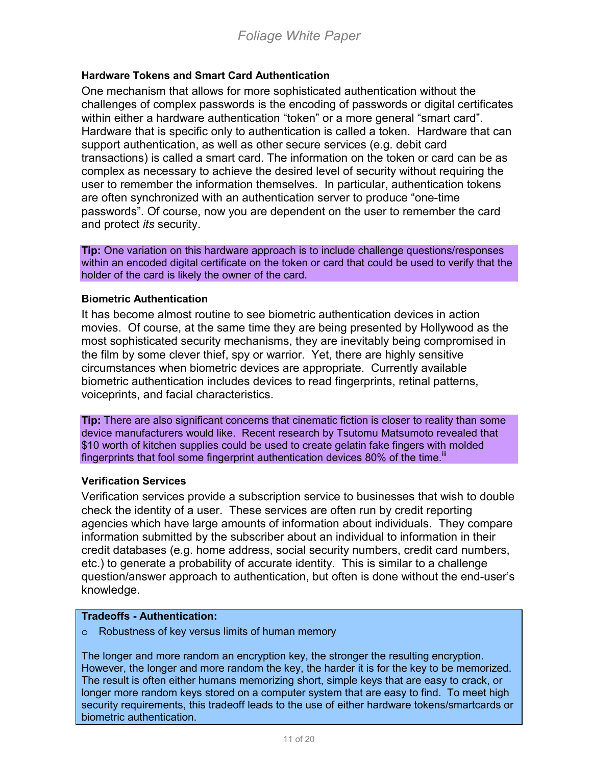#### **Hardware Tokens and Smart Card Authentication**

One mechanism that allows for more sophisticated authentication without the challenges of complex passwords is the encoding of passwords or digital certificates within either a hardware authentication "token" or a more general "smart card". Hardware that is specific only to authentication is called a token. Hardware that can support authentication, as well as other secure services (e.g. debit card transactions) is called a smart card. The information on the token or card can be as complex as necessary to achieve the desired level of security without requiring the user to remember the information themselves. In particular, authentication tokens are often synchronized with an authentication server to produce "one-time passwords". Of course, now you are dependent on the user to remember the card and protect *its* security.

**Tip:** One variation on this hardware approach is to include challenge questions/responses within an encoded digital certificate on the token or card that could be used to verify that the holder of the card is likely the owner of the card.

#### **Biometric Authentication**

It has become almost routine to see biometric authentication devices in action movies. Of course, at the same time they are being presented by Hollywood as the most sophisticated security mechanisms, they are inevitably being compromised in the film by some clever thief, spy or warrior. Yet, there are highly sensitive circumstances when biometric devices are appropriate. Currently available biometric authentication includes devices to read fingerprints, retinal patterns, voiceprints, and facial characteristics.

**Tip:** There are also significant concerns that cinematic fiction is closer to reality than some device manufacturers would like. Recent research by Tsutomu Matsumoto revealed that \$10 worth of kitchen supplies could be used to create gelatin fake fingers with molded fingerprints that fool some fingerprint authentication devices 80% of the time.<sup>[iii](#page-19-0)</sup>

#### **Verification Services**

Verification services provide a subscription service to businesses that wish to double check the identity of a user. These services are often run by credit reporting agencies which have large amounts of information about individuals. They compare information submitted by the subscriber about an individual to information in their credit databases (e.g. home address, social security numbers, credit card numbers, etc.) to generate a probability of accurate identity. This is similar to a challenge question/answer approach to authentication, but often is done without the end-user's knowledge.

## **Tradeoffs - Authentication:**

o Robustness of key versus limits of human memory

The longer and more random an encryption key, the stronger the resulting encryption. However, the longer and more random the key, the harder it is for the key to be memorized. The result is often either humans memorizing short, simple keys that are easy to crack, or longer more random keys stored on a computer system that are easy to find. To meet high security requirements, this tradeoff leads to the use of either hardware tokens/smartcards or biometric authentication.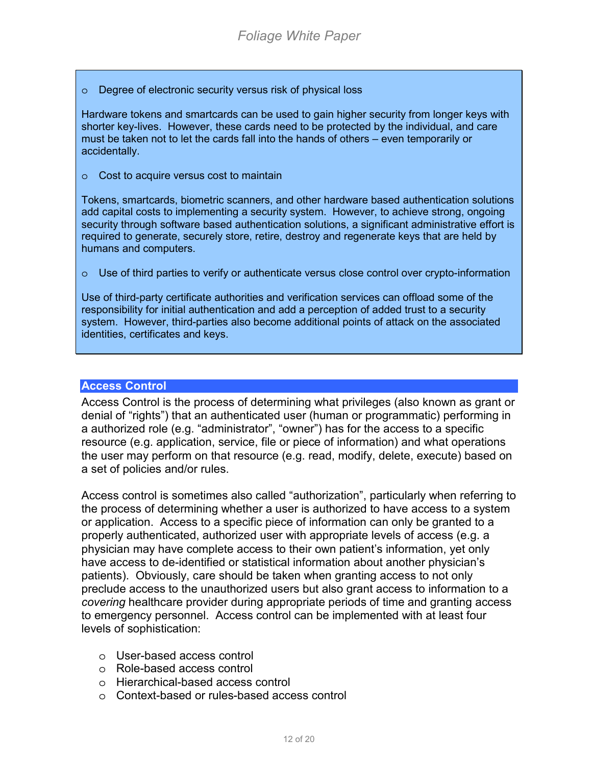<span id="page-11-0"></span>o Degree of electronic security versus risk of physical loss

Hardware tokens and smartcards can be used to gain higher security from longer keys with shorter key-lives. However, these cards need to be protected by the individual, and care must be taken not to let the cards fall into the hands of others – even temporarily or accidentally.

o Cost to acquire versus cost to maintain

Tokens, smartcards, biometric scanners, and other hardware based authentication solutions add capital costs to implementing a security system. However, to achieve strong, ongoing security through software based authentication solutions, a significant administrative effort is required to generate, securely store, retire, destroy and regenerate keys that are held by humans and computers.

 $\circ$  Use of third parties to verify or authenticate versus close control over crypto-information

Use of third-party certificate authorities and verification services can offload some of the responsibility for initial authentication and add a perception of added trust to a security system. However, third-parties also become additional points of attack on the associated identities, certificates and keys.

#### **Access Control**

Access Control is the process of determining what privileges (also known as grant or denial of "rights") that an authenticated user (human or programmatic) performing in a authorized role (e.g. "administrator", "owner") has for the access to a specific resource (e.g. application, service, file or piece of information) and what operations the user may perform on that resource (e.g. read, modify, delete, execute) based on a set of policies and/or rules.

Access control is sometimes also called "authorization", particularly when referring to the process of determining whether a user is authorized to have access to a system or application. Access to a specific piece of information can only be granted to a properly authenticated, authorized user with appropriate levels of access (e.g. a physician may have complete access to their own patient's information, yet only have access to de-identified or statistical information about another physician's patients). Obviously, care should be taken when granting access to not only preclude access to the unauthorized users but also grant access to information to a *covering* healthcare provider during appropriate periods of time and granting access to emergency personnel. Access control can be implemented with at least four levels of sophistication:

- o User-based access control
- o Role-based access control
- o Hierarchical-based access control
- o Context-based or rules-based access control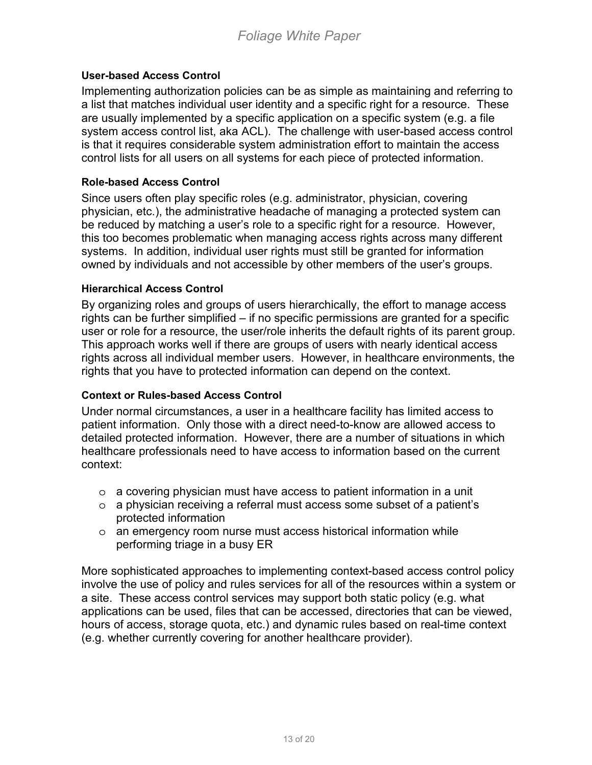### **User-based Access Control**

Implementing authorization policies can be as simple as maintaining and referring to a list that matches individual user identity and a specific right for a resource. These are usually implemented by a specific application on a specific system (e.g. a file system access control list, aka ACL). The challenge with user-based access control is that it requires considerable system administration effort to maintain the access control lists for all users on all systems for each piece of protected information.

#### **Role-based Access Control**

Since users often play specific roles (e.g. administrator, physician, covering physician, etc.), the administrative headache of managing a protected system can be reduced by matching a user's role to a specific right for a resource. However, this too becomes problematic when managing access rights across many different systems. In addition, individual user rights must still be granted for information owned by individuals and not accessible by other members of the user's groups.

#### **Hierarchical Access Control**

By organizing roles and groups of users hierarchically, the effort to manage access rights can be further simplified – if no specific permissions are granted for a specific user or role for a resource, the user/role inherits the default rights of its parent group. This approach works well if there are groups of users with nearly identical access rights across all individual member users. However, in healthcare environments, the rights that you have to protected information can depend on the context.

#### **Context or Rules-based Access Control**

Under normal circumstances, a user in a healthcare facility has limited access to patient information. Only those with a direct need-to-know are allowed access to detailed protected information. However, there are a number of situations in which healthcare professionals need to have access to information based on the current context:

- $\circ$  a covering physician must have access to patient information in a unit
- o a physician receiving a referral must access some subset of a patient's protected information
- o an emergency room nurse must access historical information while performing triage in a busy ER

More sophisticated approaches to implementing context-based access control policy involve the use of policy and rules services for all of the resources within a system or a site. These access control services may support both static policy (e.g. what applications can be used, files that can be accessed, directories that can be viewed, hours of access, storage quota, etc.) and dynamic rules based on real-time context (e.g. whether currently covering for another healthcare provider).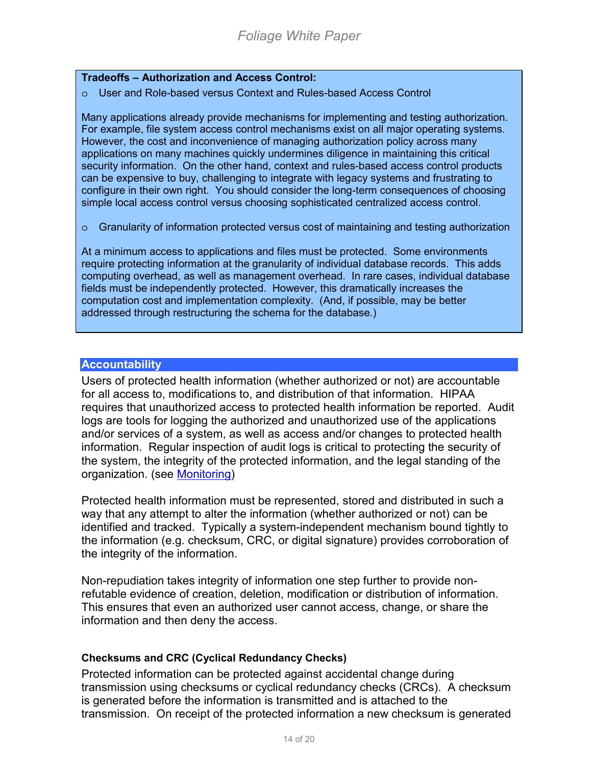#### <span id="page-13-0"></span>**Tradeoffs – Authorization and Access Control:**

#### o User and Role-based versus Context and Rules-based Access Control

Many applications already provide mechanisms for implementing and testing authorization. For example, file system access control mechanisms exist on all major operating systems. However, the cost and inconvenience of managing authorization policy across many applications on many machines quickly undermines diligence in maintaining this critical security information. On the other hand, context and rules-based access control products can be expensive to buy, challenging to integrate with legacy systems and frustrating to configure in their own right. You should consider the long-term consequences of choosing simple local access control versus choosing sophisticated centralized access control.

 $\circ$  Granularity of information protected versus cost of maintaining and testing authorization

At a minimum access to applications and files must be protected. Some environments require protecting information at the granularity of individual database records. This adds computing overhead, as well as management overhead. In rare cases, individual database fields must be independently protected. However, this dramatically increases the computation cost and implementation complexity. (And, if possible, may be better addressed through restructuring the schema for the database.)

#### **Accountability**

Users of protected health information (whether authorized or not) are accountable for all access to, modifications to, and distribution of that information. HIPAA requires that unauthorized access to protected health information be reported. Audit logs are tools for logging the authorized and unauthorized use of the applications and/or services of a system, as well as access and/or changes to protected health information. Regular inspection of audit logs is critical to protecting the security of the system, the integrity of the protected information, and the legal standing of the organization. (see [Monitoring\)](#page-18-0)

Protected health information must be represented, stored and distributed in such a way that any attempt to alter the information (whether authorized or not) can be identified and tracked. Typically a system-independent mechanism bound tightly to the information (e.g. checksum, CRC, or digital signature) provides corroboration of the integrity of the information.

Non-repudiation takes integrity of information one step further to provide nonrefutable evidence of creation, deletion, modification or distribution of information. This ensures that even an authorized user cannot access, change, or share the information and then deny the access.

#### **Checksums and CRC (Cyclical Redundancy Checks)**

Protected information can be protected against accidental change during transmission using checksums or cyclical redundancy checks (CRCs). A checksum is generated before the information is transmitted and is attached to the transmission. On receipt of the protected information a new checksum is generated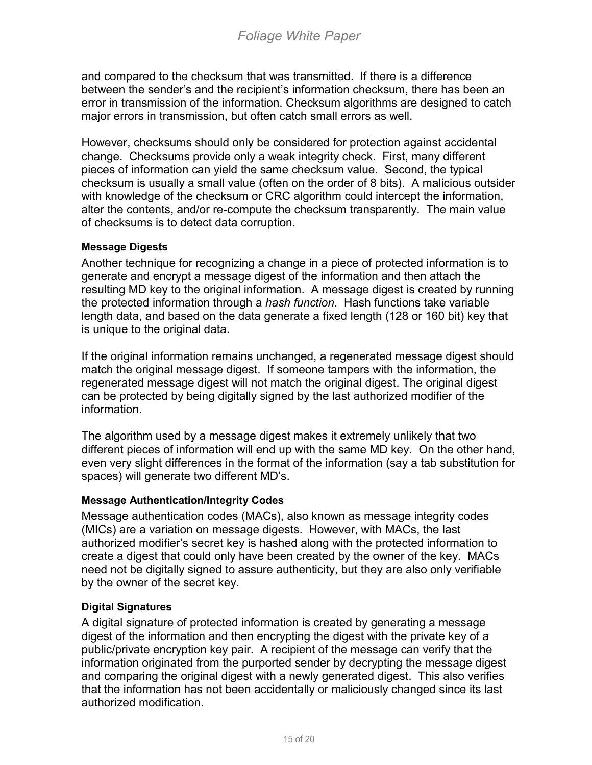and compared to the checksum that was transmitted. If there is a difference between the sender's and the recipient's information checksum, there has been an error in transmission of the information. Checksum algorithms are designed to catch major errors in transmission, but often catch small errors as well.

However, checksums should only be considered for protection against accidental change. Checksums provide only a weak integrity check. First, many different pieces of information can yield the same checksum value. Second, the typical checksum is usually a small value (often on the order of 8 bits). A malicious outsider with knowledge of the checksum or CRC algorithm could intercept the information, alter the contents, and/or re-compute the checksum transparently. The main value of checksums is to detect data corruption.

### **Message Digests**

Another technique for recognizing a change in a piece of protected information is to generate and encrypt a message digest of the information and then attach the resulting MD key to the original information. A message digest is created by running the protected information through a *hash function.* Hash functions take variable length data, and based on the data generate a fixed length (128 or 160 bit) key that is unique to the original data.

If the original information remains unchanged, a regenerated message digest should match the original message digest. If someone tampers with the information, the regenerated message digest will not match the original digest. The original digest can be protected by being digitally signed by the last authorized modifier of the information.

The algorithm used by a message digest makes it extremely unlikely that two different pieces of information will end up with the same MD key. On the other hand, even very slight differences in the format of the information (say a tab substitution for spaces) will generate two different MD's.

#### **Message Authentication/Integrity Codes**

Message authentication codes (MACs), also known as message integrity codes (MICs) are a variation on message digests. However, with MACs, the last authorized modifier's secret key is hashed along with the protected information to create a digest that could only have been created by the owner of the key. MACs need not be digitally signed to assure authenticity, but they are also only verifiable by the owner of the secret key.

#### **Digital Signatures**

A digital signature of protected information is created by generating a message digest of the information and then encrypting the digest with the private key of a public/private encryption key pair. A recipient of the message can verify that the information originated from the purported sender by decrypting the message digest and comparing the original digest with a newly generated digest. This also verifies that the information has not been accidentally or maliciously changed since its last authorized modification.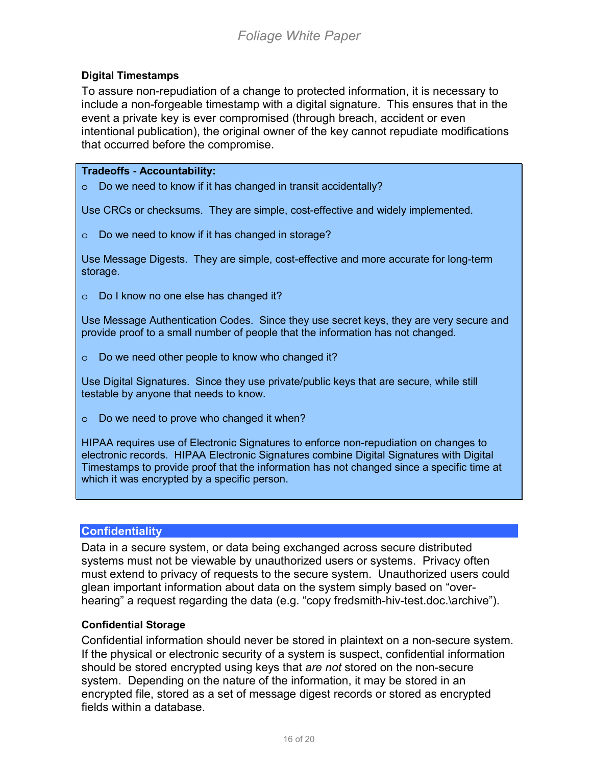### <span id="page-15-0"></span>**Digital Timestamps**

To assure non-repudiation of a change to protected information, it is necessary to include a non-forgeable timestamp with a digital signature. This ensures that in the event a private key is ever compromised (through breach, accident or even intentional publication), the original owner of the key cannot repudiate modifications that occurred before the compromise.

#### **Tradeoffs - Accountability:**

o Do we need to know if it has changed in transit accidentally?

Use CRCs or checksums. They are simple, cost-effective and widely implemented.

o Do we need to know if it has changed in storage?

Use Message Digests. They are simple, cost-effective and more accurate for long-term storage.

o Do I know no one else has changed it?

Use Message Authentication Codes. Since they use secret keys, they are very secure and provide proof to a small number of people that the information has not changed.

o Do we need other people to know who changed it?

Use Digital Signatures. Since they use private/public keys that are secure, while still testable by anyone that needs to know.

o Do we need to prove who changed it when?

HIPAA requires use of Electronic Signatures to enforce non-repudiation on changes to electronic records. HIPAA Electronic Signatures combine Digital Signatures with Digital Timestamps to provide proof that the information has not changed since a specific time at which it was encrypted by a specific person.

#### **Confidentiality**

Data in a secure system, or data being exchanged across secure distributed systems must not be viewable by unauthorized users or systems. Privacy often must extend to privacy of requests to the secure system. Unauthorized users could glean important information about data on the system simply based on "overhearing" a request regarding the data (e.g. "copy fredsmith-hiv-test.doc.\archive").

#### **Confidential Storage**

Confidential information should never be stored in plaintext on a non-secure system. If the physical or electronic security of a system is suspect, confidential information should be stored encrypted using keys that *are not* stored on the non-secure system. Depending on the nature of the information, it may be stored in an encrypted file, stored as a set of message digest records or stored as encrypted fields within a database.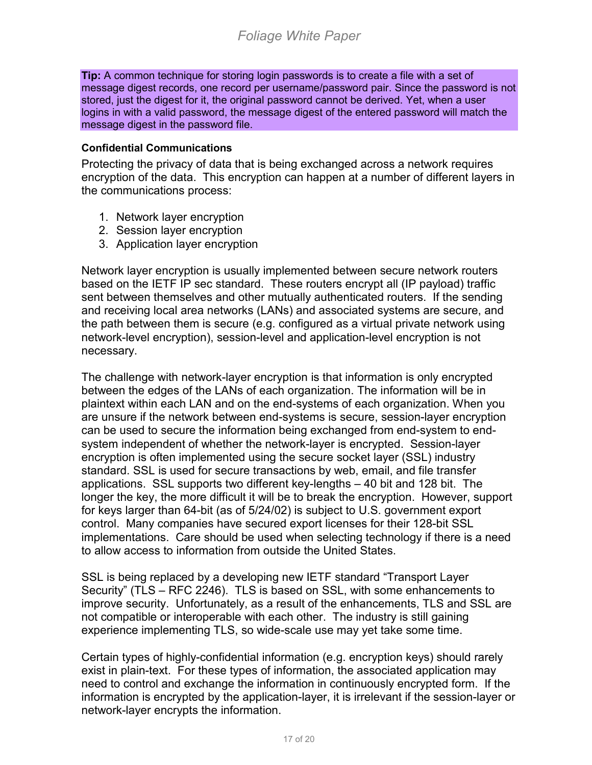**Tip:** A common technique for storing login passwords is to create a file with a set of message digest records, one record per username/password pair. Since the password is not stored, just the digest for it, the original password cannot be derived. Yet, when a user logins in with a valid password, the message digest of the entered password will match the message digest in the password file.

## **Confidential Communications**

Protecting the privacy of data that is being exchanged across a network requires encryption of the data. This encryption can happen at a number of different layers in the communications process:

- 1. Network layer encryption
- 2. Session layer encryption
- 3. Application layer encryption

Network layer encryption is usually implemented between secure network routers based on the IETF IP sec standard. These routers encrypt all (IP payload) traffic sent between themselves and other mutually authenticated routers. If the sending and receiving local area networks (LANs) and associated systems are secure, and the path between them is secure (e.g. configured as a virtual private network using network-level encryption), session-level and application-level encryption is not necessary.

The challenge with network-layer encryption is that information is only encrypted between the edges of the LANs of each organization. The information will be in plaintext within each LAN and on the end-systems of each organization. When you are unsure if the network between end-systems is secure, session-layer encryption can be used to secure the information being exchanged from end-system to endsystem independent of whether the network-layer is encrypted. Session-layer encryption is often implemented using the secure socket layer (SSL) industry standard. SSL is used for secure transactions by web, email, and file transfer applications. SSL supports two different key-lengths – 40 bit and 128 bit. The longer the key, the more difficult it will be to break the encryption. However, support for keys larger than 64-bit (as of 5/24/02) is subject to U.S. government export control. Many companies have secured export licenses for their 128-bit SSL implementations. Care should be used when selecting technology if there is a need to allow access to information from outside the United States.

SSL is being replaced by a developing new IETF standard "Transport Layer Security" (TLS – RFC 2246). TLS is based on SSL, with some enhancements to improve security. Unfortunately, as a result of the enhancements, TLS and SSL are not compatible or interoperable with each other. The industry is still gaining experience implementing TLS, so wide-scale use may yet take some time.

Certain types of highly-confidential information (e.g. encryption keys) should rarely exist in plain-text. For these types of information, the associated application may need to control and exchange the information in continuously encrypted form. If the information is encrypted by the application-layer, it is irrelevant if the session-layer or network-layer encrypts the information.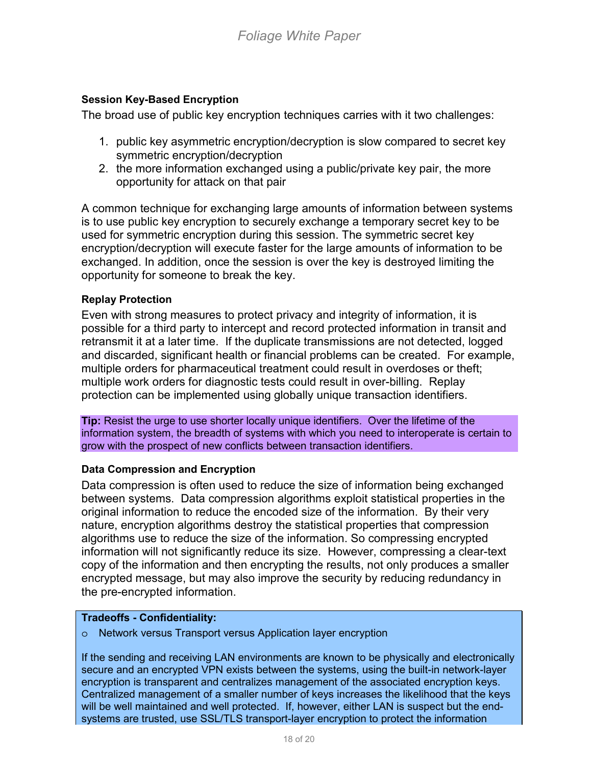## **Session Key-Based Encryption**

The broad use of public key encryption techniques carries with it two challenges:

- 1. public key asymmetric encryption/decryption is slow compared to secret key symmetric encryption/decryption
- 2. the more information exchanged using a public/private key pair, the more opportunity for attack on that pair

A common technique for exchanging large amounts of information between systems is to use public key encryption to securely exchange a temporary secret key to be used for symmetric encryption during this session. The symmetric secret key encryption/decryption will execute faster for the large amounts of information to be exchanged. In addition, once the session is over the key is destroyed limiting the opportunity for someone to break the key.

### **Replay Protection**

Even with strong measures to protect privacy and integrity of information, it is possible for a third party to intercept and record protected information in transit and retransmit it at a later time. If the duplicate transmissions are not detected, logged and discarded, significant health or financial problems can be created. For example, multiple orders for pharmaceutical treatment could result in overdoses or theft; multiple work orders for diagnostic tests could result in over-billing. Replay protection can be implemented using globally unique transaction identifiers.

**Tip:** Resist the urge to use shorter locally unique identifiers. Over the lifetime of the information system, the breadth of systems with which you need to interoperate is certain to grow with the prospect of new conflicts between transaction identifiers.

#### **Data Compression and Encryption**

Data compression is often used to reduce the size of information being exchanged between systems. Data compression algorithms exploit statistical properties in the original information to reduce the encoded size of the information. By their very nature, encryption algorithms destroy the statistical properties that compression algorithms use to reduce the size of the information. So compressing encrypted information will not significantly reduce its size. However, compressing a clear-text copy of the information and then encrypting the results, not only produces a smaller encrypted message, but may also improve the security by reducing redundancy in the pre-encrypted information.

#### **Tradeoffs - Confidentiality:**

o Network versus Transport versus Application layer encryption

If the sending and receiving LAN environments are known to be physically and electronically secure and an encrypted VPN exists between the systems, using the built-in network-layer encryption is transparent and centralizes management of the associated encryption keys. Centralized management of a smaller number of keys increases the likelihood that the keys will be well maintained and well protected. If, however, either LAN is suspect but the endsystems are trusted, use SSL/TLS transport-layer encryption to protect the information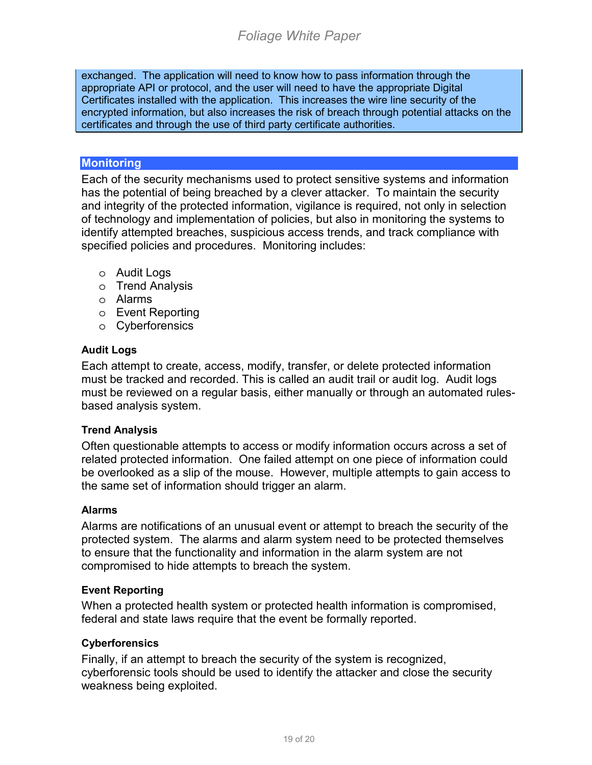<span id="page-18-0"></span>exchanged. The application will need to know how to pass information through the appropriate API or protocol, and the user will need to have the appropriate Digital Certificates installed with the application. This increases the wire line security of the encrypted information, but also increases the risk of breach through potential attacks on the certificates and through the use of third party certificate authorities.

## **Monitoring**

Each of the security mechanisms used to protect sensitive systems and information has the potential of being breached by a clever attacker. To maintain the security and integrity of the protected information, vigilance is required, not only in selection of technology and implementation of policies, but also in monitoring the systems to identify attempted breaches, suspicious access trends, and track compliance with specified policies and procedures. Monitoring includes:

- o Audit Logs
- o Trend Analysis
- o Alarms
- o Event Reporting
- o Cyberforensics

## **Audit Logs**

Each attempt to create, access, modify, transfer, or delete protected information must be tracked and recorded. This is called an audit trail or audit log. Audit logs must be reviewed on a regular basis, either manually or through an automated rulesbased analysis system.

## **Trend Analysis**

Often questionable attempts to access or modify information occurs across a set of related protected information. One failed attempt on one piece of information could be overlooked as a slip of the mouse. However, multiple attempts to gain access to the same set of information should trigger an alarm.

#### **Alarms**

Alarms are notifications of an unusual event or attempt to breach the security of the protected system. The alarms and alarm system need to be protected themselves to ensure that the functionality and information in the alarm system are not compromised to hide attempts to breach the system.

## **Event Reporting**

When a protected health system or protected health information is compromised, federal and state laws require that the event be formally reported.

#### **Cyberforensics**

Finally, if an attempt to breach the security of the system is recognized, cyberforensic tools should be used to identify the attacker and close the security weakness being exploited.